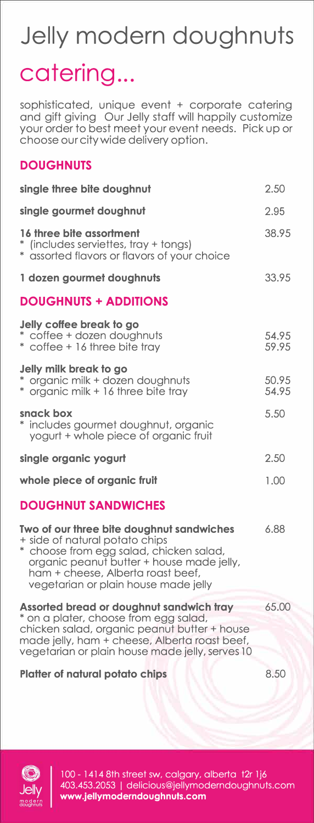## **Jelly modern doughnuts**  catering...

sophisticated, unique event + corporate catering and gift giving Our Jelly staff will happily customize your order to best meet your event needs. Pick up or choose our city wide delivery option.

## **DOUGHNUTS**

| single three bite doughnut                                                                                                                                                                                                                       | 2.50           |
|--------------------------------------------------------------------------------------------------------------------------------------------------------------------------------------------------------------------------------------------------|----------------|
| single gourmet doughnut                                                                                                                                                                                                                          | 2.95           |
| 16 three bite assortment<br>* (includes serviettes, tray + tongs)<br>* assorted flavors or flavors of your choice                                                                                                                                | 38.95          |
| 1 dozen gourmet doughnuts                                                                                                                                                                                                                        | 33.95          |
| <b>DOUGHNUTS + ADDITIONS</b>                                                                                                                                                                                                                     |                |
| Jelly coffee break to go<br>* coffee + dozen doughnuts<br>* coffee + 16 three bite tray                                                                                                                                                          | 54.95<br>59.95 |
| Jelly milk break to go<br>* organic milk + dozen doughnuts<br>* organic milk + 16 three bite tray                                                                                                                                                | 50.95<br>54.95 |
| snack box<br>* includes gourmet doughnut, organic<br>yogurt + whole piece of organic fruit                                                                                                                                                       | 5.50           |
| single organic yogurt                                                                                                                                                                                                                            | 2.50           |
| whole piece of organic fruit                                                                                                                                                                                                                     | 1.00           |
| <b>DOUGHNUT SANDWICHES</b>                                                                                                                                                                                                                       |                |
| Two of our three bite doughnut sandwiches<br>+ side of natural potato chips<br>* choose from egg salad, chicken salad,<br>organic peanut butter + house made jelly,<br>ham + cheese, Alberta roast beef,<br>vegetarian or plain house made jelly | 6.88           |
| Assorted bread or doughnut sandwich tray<br>* on a plater, choose from egg salad,<br>chicken salad, organic peanut butter + house<br>made jelly, ham + cheese, Alberta roast beef,<br>vegetarian or plain house made jelly, serves 10            | 65.00          |
| <b>Platter of natural potato chips</b>                                                                                                                                                                                                           | 8.50           |



100 - 1414 8th street sw, calgary, alberta  $t2r$  1j6 403.453.2053 I delicious@jellymoderndoughnuts.com **www.jellymoderndoughnuts.com**